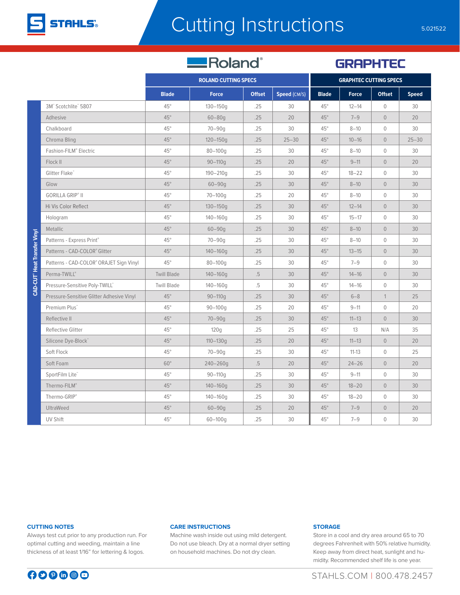

## Cutting Instructions 5.021522

Roland®

**GRAPHTEC** 

|                                           | <b>ROLAND CUTTING SPECS</b> |              |               |              | <b>GRAPHTEC CUTTING SPECS</b> |              |                |              |
|-------------------------------------------|-----------------------------|--------------|---------------|--------------|-------------------------------|--------------|----------------|--------------|
|                                           |                             |              |               |              |                               |              |                |              |
|                                           | <b>Blade</b>                | <b>Force</b> | <b>Offset</b> | Speed (CM/S) | <b>Blade</b>                  | <b>Force</b> | <b>Offset</b>  | <b>Speed</b> |
| 3M <sup>"</sup> Scotchlite" 5807          | $45^{\circ}$                | $130 - 150q$ | .25           | 30           | $45^{\circ}$                  | $12 - 14$    | $\overline{0}$ | 30           |
| Adhesive                                  | $45^\circ$                  | $60 - 80q$   | .25           | 20           | $45^\circ$                    | $7 - 9$      | $\overline{0}$ | 20           |
| Chalkboard                                | $45^{\circ}$                | $70 - 90q$   | .25           | 30           | $45^{\circ}$                  | $8 - 10$     | $\mathbf 0$    | 30           |
| Chroma Bling                              | $45^\circ$                  | $120 - 150q$ | .25           | $25 - 30$    | $45^\circ$                    | $10 - 16$    | $\overline{0}$ | $25 - 30$    |
| Fashion-FILM® Electric                    | $45^{\circ}$                | $80 - 100q$  | .25           | 30           | $45^{\circ}$                  | $8 - 10$     | $\overline{0}$ | 30           |
| Flock II                                  | $45^\circ$                  | $90 - 110q$  | .25           | 20           | $45^\circ$                    | $9 - 11$     | $\mathbf 0$    | 20           |
| Glitter Flake <sup>®</sup>                | $45^{\circ}$                | $190 - 210q$ | .25           | 30           | $45^{\circ}$                  | $18 - 22$    | $\mathbf 0$    | 30           |
| Glow                                      | $45^\circ$                  | $60 - 90q$   | .25           | 30           | $45^\circ$                    | $8 - 10$     | $\circ$        | 30           |
| <b>GORILLA GRIP® II</b>                   | $45^{\circ}$                | $70 - 100q$  | .25           | 20           | $45^{\circ}$                  | $8 - 10$     | $\mathbf 0$    | 30           |
| Hi Vis Color Reflect                      | $45^\circ$                  | $130 - 150q$ | .25           | 30           | $45^\circ$                    | $12 - 14$    | $\overline{0}$ | 30           |
| Hologram                                  | $45^{\circ}$                | $140 - 160q$ | .25           | 30           | $45^{\circ}$                  | $15 - 17$    | $\mathbf 0$    | 30           |
| Metallic                                  | $45^{\circ}$                | $60 - 90q$   | .25           | 30           | $45^{\circ}$                  | $8 - 10$     | $\overline{0}$ | 30           |
| Patterns - Express Print®                 | $45^{\circ}$                | $70 - 90q$   | .25           | 30           | $45^{\circ}$                  | $8 - 10$     | $\mathbf 0$    | 30           |
| Patterns - CAD-COLOR® Glitter             | $45^{\circ}$                | $140 - 160q$ | .25           | 30           | $45^\circ$                    | $13 - 15$    | $\overline{0}$ | 30           |
| Patterns - CAD-COLOR® ORAJET Sign Vinyl   | $45^{\circ}$                | $80 - 100q$  | .25           | 30           | $45^{\circ}$                  | $7 - 9$      | $\overline{0}$ | 30           |
| Perma-TWILL®                              | <b>Twill Blade</b>          | $140 - 160q$ | .5            | 30           | $45^\circ$                    | $14 - 16$    | $\overline{0}$ | 30           |
| Pressure-Sensitive Poly-TWILL"            | <b>Twill Blade</b>          | $140 - 160q$ | .5            | 30           | $45^{\circ}$                  | $14 - 16$    | $\mathbf 0$    | 30           |
| Pressure-Sensitive Glitter Adhesive Vinyl | $45^\circ$                  | $90 - 110q$  | .25           | 30           | $45^\circ$                    | $6 - 8$      | $\mathbf{1}$   | 25           |
| Premium Plus <sup>"</sup>                 | $45^{\circ}$                | $90 - 100q$  | .25           | 20           | $45^{\circ}$                  | $9 - 11$     | $\mathbf 0$    | 20           |
| Reflective II                             | $45^\circ$                  | $70 - 90q$   | .25           | 30           | $45^\circ$                    | $11 - 13$    | $\overline{0}$ | 30           |
| Reflective Glitter                        | $45^{\circ}$                | 120q         | .25           | 25           | $45^{\circ}$                  | 13           | N/A            | 35           |
| Silicone Dye-Block"                       | $45^\circ$                  | $110 - 130q$ | .25           | 20           | $45^\circ$                    | $11 - 13$    | $\overline{0}$ | 20           |
| Soft Flock                                | $45^{\circ}$                | $70 - 90q$   | .25           | 30           | $45^{\circ}$                  | $11 - 13$    | $\mathbf 0$    | 25           |
| Soft Foam                                 | $60^\circ$                  | 240-260g     | .5            | 20           | $45^\circ$                    | $24 - 26$    | $\overline{0}$ | 20           |
| SportFilm Lite®                           | $45^{\circ}$                | $90 - 110q$  | .25           | 30           | $45^{\circ}$                  | $9 - 11$     | $\mathbf 0$    | 30           |
| Thermo-FILM®                              | $45^\circ$                  | $140 - 160q$ | .25           | 30           | $45^\circ$                    | $18 - 20$    | $\mathbf 0$    | 30           |
| Thermo-GRIP®                              | $45^{\circ}$                | 140-160g     | .25           | 30           | $45^{\circ}$                  | $18 - 20$    | $\mathbf 0$    | 30           |
| UltraWeed                                 | $45^\circ$                  | $60 - 90q$   | .25           | 20           | $45^\circ$                    | $7 - 9$      | $\circ$        | 20           |
| UV Shift                                  | $45^{\circ}$                | $60 - 100q$  | .25           | 30           | $45^{\circ}$                  | $7 - 9$      | $\mathbf 0$    | 30           |

# **CAD-CUT**<sup>®</sup> Heat Transfer Vinvl **CAD-CUT® Heat Transfer Vinyl**

### **CUTTING NOTES**

Always test cut prior to any production run. For optimal cutting and weeding, maintain a line thickness of at least 1/16" for lettering & logos.

### **CARE INSTRUCTIONS**

Machine wash inside out using mild detergent. Do not use bleach. Dry at a normal dryer setting on household machines. Do not dry clean.

### **STORAGE**

Store in a cool and dry area around 65 to 70 degrees Fahrenheit with 50% relative humidity. Keep away from direct heat, sunlight and humidity. Recommended shelf life is one year.